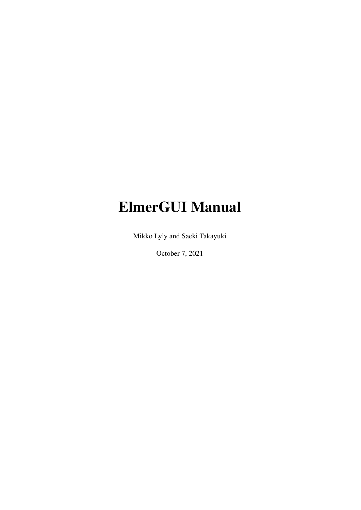# ElmerGUI Manual

Mikko Lyly and Saeki Takayuki

October 7, 2021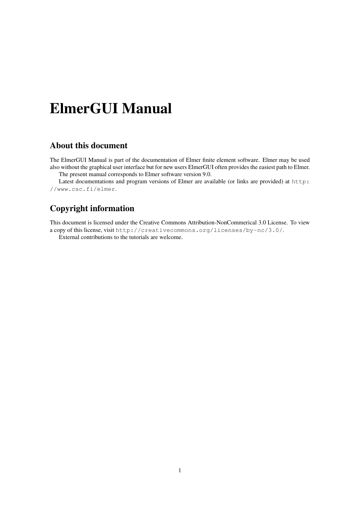# ElmerGUI Manual

### About this document

The ElmerGUI Manual is part of the documentation of Elmer finite element software. Elmer may be used also without the graphical user interface but for new users ElmerGUI often provides the easiest path to Elmer. The present manual corresponds to Elmer software version 9.0.

Latest documentations and program versions of Elmer are available (or links are provided) at [http:](http://www.csc.fi/elmer) [//www.csc.fi/elmer](http://www.csc.fi/elmer).

### Copyright information

This document is licensed under the Creative Commons Attribution-NonCommerical 3.0 License. To view a copy of this license, visit <http://creativecommons.org/licenses/by-nc/3.0/>.

External contributions to the tutorials are welcome.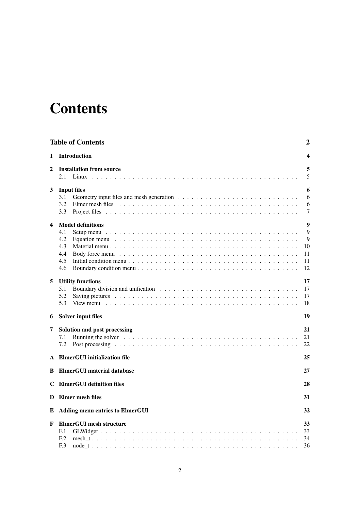# <span id="page-2-0"></span>**Contents**

|                  | <b>Table of Contents</b>                                                                                                                                                                                           | $\boldsymbol{2}$                                   |
|------------------|--------------------------------------------------------------------------------------------------------------------------------------------------------------------------------------------------------------------|----------------------------------------------------|
| 1                | <b>Introduction</b>                                                                                                                                                                                                | 4                                                  |
| 2                | <b>Installation from source</b><br>2.1<br>Linux                                                                                                                                                                    | 5<br>5                                             |
| 3                | <b>Input files</b><br>3.1<br>3.2<br>3.3                                                                                                                                                                            | 6<br>6<br>6<br>7                                   |
| $\boldsymbol{4}$ | <b>Model definitions</b><br>4.1<br>4.2<br>4.3<br>4.4<br>4.5<br>4.6<br>Boundary condition menu $\ldots$ $\ldots$ $\ldots$ $\ldots$ $\ldots$ $\ldots$ $\ldots$ $\ldots$ $\ldots$ $\ldots$ $\ldots$ $\ldots$ $\ldots$ | $\boldsymbol{9}$<br>9<br>9<br>10<br>11<br>11<br>12 |
| 5<br>6           | <b>Utility functions</b><br>5.1<br>5.2<br>5.3<br><b>Solver input files</b>                                                                                                                                         | 17<br>17<br>17<br>18<br>19                         |
| 7                | Solution and post processing<br>Running the solver $\ldots \ldots \ldots \ldots \ldots \ldots \ldots \ldots \ldots \ldots \ldots \ldots$<br>7.1<br>7.2                                                             | 21<br>21<br>22                                     |
|                  | <b>ElmerGUI</b> initialization file                                                                                                                                                                                | 25                                                 |
| B                | <b>ElmerGUI</b> material database                                                                                                                                                                                  | 27                                                 |
|                  | <b>C</b> ElmerGUI definition files                                                                                                                                                                                 | 28                                                 |
|                  | D Elmer mesh files                                                                                                                                                                                                 | 31                                                 |
| E                | <b>Adding menu entries to ElmerGUI</b>                                                                                                                                                                             | 32                                                 |
| F                | <b>ElmerGUI</b> mesh structure<br>F <sub>1</sub><br>F <sub>12</sub><br>F <sub>13</sub>                                                                                                                             | 33<br>33<br>34<br>36                               |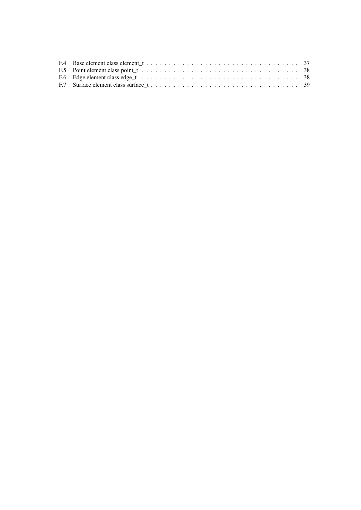| F.5 Point element class point $\pm \ldots \ldots \ldots \ldots \ldots \ldots \ldots \ldots \ldots \ldots \ldots \ldots \ldots$ 38 |  |
|-----------------------------------------------------------------------------------------------------------------------------------|--|
|                                                                                                                                   |  |
|                                                                                                                                   |  |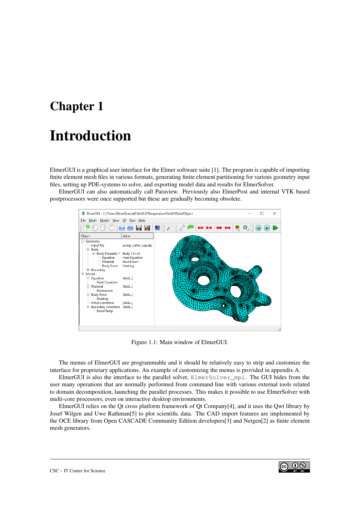# <span id="page-4-0"></span>Introduction

ElmerGUI is a graphical user interface for the Elmer software suite [\[1\]](#page-24-0). The program is capable of importing finite element mesh files in various formats, generating finite element partitioning for various geometry input files, setting up PDE-systems to solve, and exporting model data and results for ElmerSolver.

ElmerGUI can also automatically call Paraview. Previously also ElmerPost and internal VTK based postprocessors were once supported but these are gradually becoming obsolete.



Figure 1.1: Main window of ElmerGUI.

The menus of ElmerGUI are programmable and it should be relatively easy to strip and customize the interface for proprietary applications. An example of customizing the menus is provided in appendix A.

ElmerGUI is also the interface to the parallel solver, ElmerSolver\_mpi. The GUI hides from the user many operations that are normally performed from command line with various external tools related to domain decomposition, launching the parallel processes. This makes it possible to use ElmerSolver with multi-core processors, even on interactive desktop environments.

ElmerGUI relies on the Qt cross platform framework of Qt Company[\[4\]](#page-24-1), and it uses the Qwt library by Josef Wilgen and Uwe Rathman[\[5\]](#page-24-2) to plot scientific data. The CAD import features are implemented by the OCE library from Open CASCADE Community Edition developers[\[3\]](#page-24-3) and Netgen[\[2\]](#page-24-4) as finite element mesh generators.

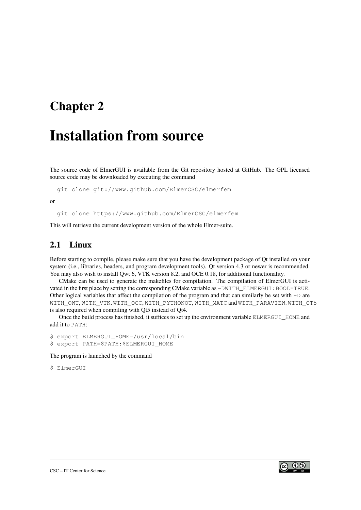## <span id="page-5-0"></span>Installation from source

The source code of ElmerGUI is available from the Git repository hosted at GitHub. The GPL licensed source code may be downloaded by executing the command

git clone git://www.github.com/ElmerCSC/elmerfem

or

git clone https://www.github.com/ElmerCSC/elmerfem

This will retrieve the current development version of the whole Elmer-suite.

### <span id="page-5-1"></span>2.1 Linux

Before starting to compile, please make sure that you have the development package of Qt installed on your system (i.e., libraries, headers, and program development tools). Qt version 4.3 or newer is recommended. You may also wish to install Qwt 6, VTK version 8.2, and OCE 0.18, for additional functionality.

CMake can be used to generate the makefiles for compilation. The compilation of ElmerGUI is activated in the first place by setting the corresponding CMake variable as  $-DWITH$  ELMERGUI: BOOL=TRUE. Other logical variables that affect the compilation of the program and that can similarly be set with  $-D$  are WITH\_QWT, WITH\_VTK, WITH\_OCC, WITH\_PYTHONQT, WITH\_MATC and WITH\_PARAVIEW. WITH\_QT5 is also required when compiling with Qt5 instead of Qt4.

Once the build process has finished, it suffices to set up the environment variable ELMERGUI\_HOME and add it to PATH:

\$ export ELMERGUI\_HOME=/usr/local/bin \$ export PATH=\$PATH:\$ELMERGUI\_HOME

#### The program is launched by the command

\$ ElmerGUI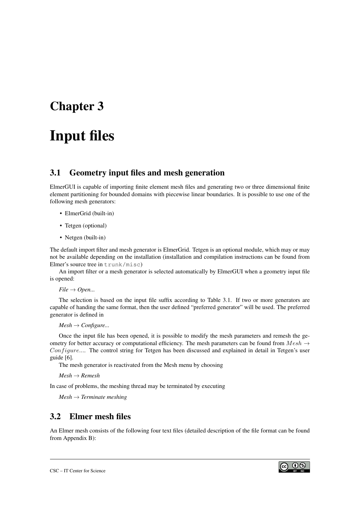# <span id="page-6-0"></span>Input files

### <span id="page-6-1"></span>3.1 Geometry input files and mesh generation

ElmerGUI is capable of importing finite element mesh files and generating two or three dimensional finite element partitioning for bounded domains with piecewise linear boundaries. It is possible to use one of the following mesh generators:

- ElmerGrid (built-in)
- Tetgen (optional)
- Netgen (built-in)

The default import filter and mesh generator is ElmerGrid. Tetgen is an optional module, which may or may not be available depending on the installation (installation and compilation instructions can be found from Elmer's source tree in trunk/misc)

An import filter or a mesh generator is selected automatically by ElmerGUI when a geometry input file is opened:

*File* → *Open...*

The selection is based on the input file suffix according to Table [3.1.](#page-7-1) If two or more generators are capable of handing the same format, then the user defined "preferred generator" will be used. The preferred generator is defined in

```
Mesh \rightarrow Configure...
```
Once the input file has been opened, it is possible to modify the mesh parameters and remesh the geometry for better accuracy or computational efficiency. The mesh parameters can be found from  $Mesh \rightarrow$  $Configure...$  The control string for Tetgen has been discussed and explained in detail in Tetgen's user guide [\[6\]](#page-24-5).

The mesh generator is reactivated from the Mesh menu by choosing

*Mesh* → *Remesh*

In case of problems, the meshing thread may be terminated by executing

*Mesh* → *Terminate meshing*

#### <span id="page-6-2"></span>3.2 Elmer mesh files

An Elmer mesh consists of the following four text files (detailed description of the file format can be found from Appendix B):

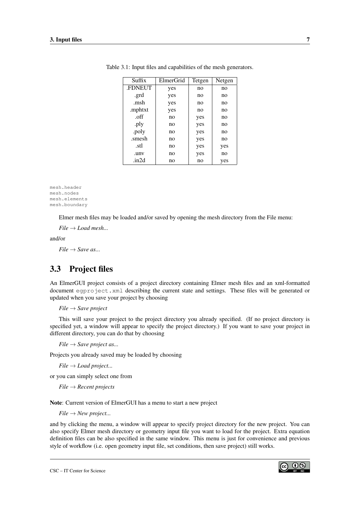<span id="page-7-1"></span>

| Suffix        | ElmerGrid | Tetgen | Netgen |
|---------------|-----------|--------|--------|
| <b>FDNEUT</b> | yes       | no     | no     |
| .grd          | yes       | no     | no     |
| .msh          | yes       | no     | no     |
| .mphtxt       | yes       | no     | no     |
| .off          | no        | yes    | no     |
| .ply          | no        | yes    | no     |
| .poly         | no        | yes    | no     |
| .smesh        | no        | yes    | no     |
| .stl          | no        | yes    | yes    |
| .unv          | no        | yes    | no     |
| .in2d         | no        | no     | yes    |

Table 3.1: Input files and capabilities of the mesh generators.

mesh.header mesh.nodes mesh.elements mesh.boundary

Elmer mesh files may be loaded and/or saved by opening the mesh directory from the File menu:

 $File \rightarrow Load$  *mesh...* 

and/or

*File* → *Save as...*

### <span id="page-7-0"></span>3.3 Project files

An ElmerGUI project consists of a project directory containing Elmer mesh files and an xml-formatted document egproject.xml describing the current state and settings. These files will be generated or updated when you save your project by choosing

*File* → *Save project*

This will save your project to the project directory you already specified. (If no project directory is specified yet, a window will appear to specify the project directory.) If you want to save your project in different directory, you can do that by choosing

 $File \rightarrow Save project as...$ 

Projects you already saved may be loaded by choosing

*File* → *Load project...*

or you can simply select one from

*File* → *Recent projects*

Note: Current version of ElmerGUI has a menu to start a new project

*File* → *New project...*

and by clicking the menu, a window will appear to specify project directory for the new project. You can also specify Elmer mesh directory or geometry input file you want to load for the project. Extra equation definition files can be also specified in the same window. This menu is just for convenience and previous style of workflow (i.e. open geometry input file, set conditions, then save project) still works.

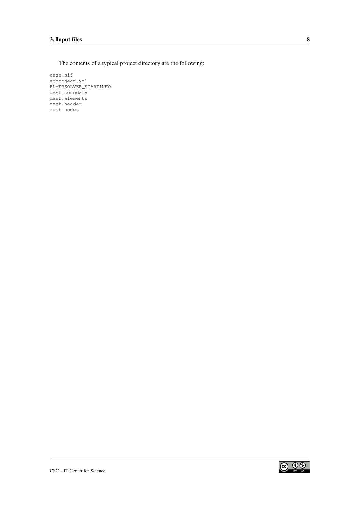The contents of a typical project directory are the following:

case.sif egproject.xml ELMERSOLVER\_STARTINFO mesh.boundary mesh.elements mesh.header mesh.nodes



 $\circ$  0  $\circ$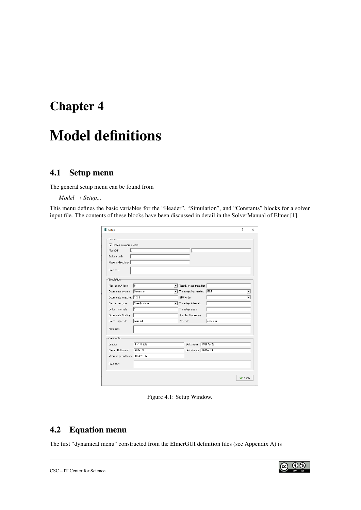# <span id="page-9-0"></span>Model definitions

### <span id="page-9-1"></span>4.1 Setup menu

The general setup menu can be found from

#### *Model* → *Setup...*

This menu defines the basic variables for the "Header", "Simulation", and "Constants" blocks for a solver input file. The contents of these blocks have been discussed in detail in the SolverManual of Elmer [\[1\]](#page-24-0).

| E Setup |                                   |                              |                          |              | ?     | × |  |
|---------|-----------------------------------|------------------------------|--------------------------|--------------|-------|---|--|
| Header  | V Check keywords warn             |                              |                          |              |       |   |  |
|         | MeshDB                            |                              | ı.                       |              |       |   |  |
|         | Include path<br>Results directory |                              |                          |              |       |   |  |
|         | Free text                         |                              |                          |              |       |   |  |
|         | Simulation                        |                              |                          |              |       |   |  |
|         | Max. output level                 | 15<br>$\mathbf{r}$           | Steady state max. iter 1 |              |       |   |  |
|         | Coordinate system                 | Cartesian<br>$\mathbf{r}$    | Timestepping method      | <b>BDF</b>   |       |   |  |
|         | Coordinate mapping   1 2 3        |                              | <b>BDF</b> order         | $\mathbf{1}$ | ÷     |   |  |
|         | Simulation type                   | Steady state<br>$\mathbf{v}$ | Timestep intervals       |              |       |   |  |
|         | Output intervals                  | $\mathbf{1}$                 | Timestep sizes           |              |       |   |  |
|         | Coordinate Scaling                |                              | Angular Frequency        |              |       |   |  |
|         | Solver input file                 | casesif                      | Post file                | case.vtu     |       |   |  |
|         | Free text                         |                              |                          |              |       |   |  |
|         | Constants                         |                              |                          |              |       |   |  |
| Gravity |                                   | $0 - 109.82$                 | Boltzmann                | 1.3807e-23   |       |   |  |
|         | Stefan Boltzmann                  | $5.67e - 08$                 | Unit charge 1.602e-19    |              |       |   |  |
|         | Vacuum permittivity 8.8542e-12    |                              |                          |              |       |   |  |
|         | Free text                         |                              |                          |              |       |   |  |
|         |                                   |                              |                          |              | Apply |   |  |

Figure 4.1: Setup Window.

### <span id="page-9-2"></span>4.2 Equation menu

The first "dynamical menu" constructed from the ElmerGUI definition files (see Appendix A) is

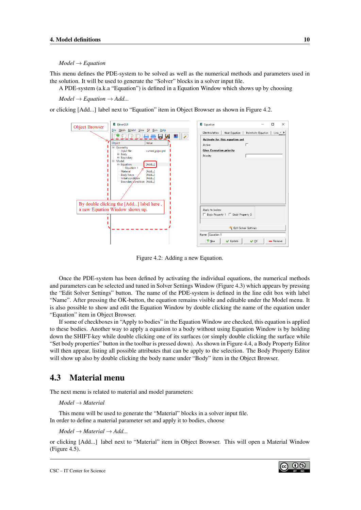#### *Model* → *Equation*

This menu defines the PDE-system to be solved as well as the numerical methods and parameters used in the solution. It will be used to generate the "Solver" blocks in a solver input file.

A PDE-system (a.k.a "Equation") is defined in a Equation Window which shows up by choosing

 $Model \rightarrow Equation \rightarrow Add...$ 

or clicking [Add...] label next to "Equation" item in Object Browser as shown in Figure [4.2.](#page-10-1)



<span id="page-10-1"></span>Figure 4.2: Adding a new Equation.

Once the PDE-system has been defined by activating the individual equations, the numerical methods and parameters can be selected and tuned in Solver Settings Window (Figure [4.3\)](#page-11-2) which appears by pressing the "Edit Solver Settings" button. The name of the PDE-system is defined in the line edit box with label "Name". After pressing the OK-button, the equation remains visible and editable under the Model menu. It is also possible to show and edit the Equation Window by double clicking the name of the equation under "Equation" item in Object Browser.

If some of checkboxes in "Apply to bodies" in the Equation Window are checked, this equation is applied to these bodies. Another way to apply a equation to a body without using Equation Window is by holding down the SHIFT-key while double clicking one of its surfaces (or simply double clicking the surface while "Set body properties" button in the toolbar is pressed down). As shown in Figure [4.4,](#page-12-1) a Body Property Editor will then appear, listing all possible attributes that can be apply to the selection. The Body Property Editor will show up also by double clicking the body name under "Body" item in the Object Browser.

#### <span id="page-10-0"></span>4.3 Material menu

The next menu is related to material and model parameters:

*Model* → *Material*

This menu will be used to generate the "Material" blocks in a solver input file. In order to define a material parameter set and apply it to bodies, choose

 $Model \rightarrow Material \rightarrow Add...$ 

or clicking [Add...] label next to "Material" item in Object Browser. This will open a Material Window (Figure [4.5\)](#page-13-0).

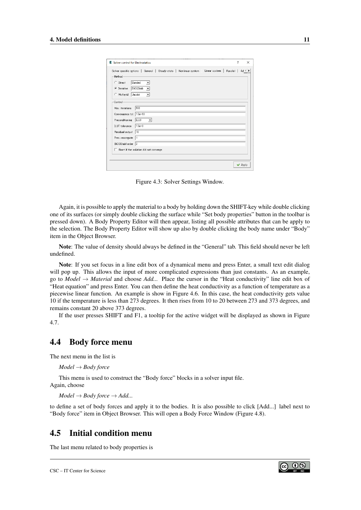| E Solver control for Electrostatics                                                                                                                                                                                                                                               | ? | $\times$                           |
|-----------------------------------------------------------------------------------------------------------------------------------------------------------------------------------------------------------------------------------------------------------------------------------|---|------------------------------------|
| Linear system<br>Parallel  <br>Solver specific options   General   Steady state  <br>Nonlinear system<br>Method<br>Direct<br>Banded<br>C<br>$\blacktriangledown$<br>BiCGStab<br>Iterative<br>$\sqrt{6}$<br>$\blacktriangledown$<br>Multierid<br>Jacobi<br>$\subset$               |   | $Ad \parallel \blacktriangleright$ |
| Control-<br>500<br>Max. iterations<br>Convergence tol. 1.0e-10<br>ILU0<br>Preconditioning<br>$\mathbf{v}$<br><b>ILUT</b> tolerance<br>$1.0e-3$<br>10<br>Residual output<br>Prec. recompute<br>$\mathbf{11}$<br>BiCGStabl order 2<br>$\Box$ Abort if the solution did not converge |   |                                    |
|                                                                                                                                                                                                                                                                                   |   | Apply                              |

<span id="page-11-2"></span>Figure 4.3: Solver Settings Window.

Again, it is possible to apply the material to a body by holding down the SHIFT-key while double clicking one of its surfaces (or simply double clicking the surface while "Set body properties" button in the toolbar is pressed down). A Body Property Editor will then appear, listing all possible attributes that can be apply to the selection. The Body Property Editor will show up also by double clicking the body name under "Body" item in the Object Browser.

Note: The value of density should always be defined in the "General" tab. This field should never be left undefined.

Note: If you set focus in a line edit box of a dynamical menu and press Enter, a small text edit dialog will pop up. This allows the input of more complicated expressions than just constants. As an example, go to *Model* → *Material* and choose *Add...* Place the cursor in the "Heat conductivity" line edit box of "Heat equation" and press Enter. You can then define the heat conductivity as a function of temperature as a piecewise linear function. An example is show in Figure [4.6.](#page-13-1) In this case, the heat conductivity gets value 10 if the temperature is less than 273 degrees. It then rises from 10 to 20 between 273 and 373 degrees, and remains constant 20 above 373 degrees.

If the user presses SHIFT and F1, a tooltip for the active widget will be displayed as shown in Figure [4.7.](#page-14-0)

#### <span id="page-11-0"></span>4.4 Body force menu

The next menu in the list is

*Model* → *Body force*

This menu is used to construct the "Body force" blocks in a solver input file. Again, choose

 $Model \rightarrow Body$  *force*  $\rightarrow Add...$ 

to define a set of body forces and apply it to the bodies. It is also possible to click [Add...] label next to "Body force" item in Object Browser. This will open a Body Force Window (Figure [4.8\)](#page-14-1).

#### <span id="page-11-1"></span>4.5 Initial condition menu

The last menu related to body properties is

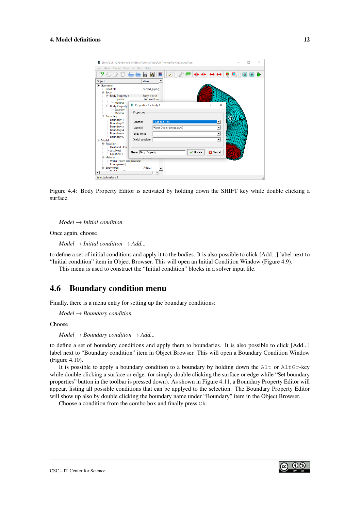|                                                                                                                                                                                                           | E ElmerGUI - C:¥b¥Elmer8.4n¥ElmerTutorialFilesGUI¥ThermalFlowInCurvedPipe              |                          |                 |                                                                                          |   | × |
|-----------------------------------------------------------------------------------------------------------------------------------------------------------------------------------------------------------|----------------------------------------------------------------------------------------|--------------------------|-----------------|------------------------------------------------------------------------------------------|---|---|
| File Mesh Model View Sif Run Help                                                                                                                                                                         |                                                                                        |                          |                 |                                                                                          |   |   |
| Θ                                                                                                                                                                                                         |                                                                                        |                          |                 |                                                                                          | S |   |
| Object                                                                                                                                                                                                    | Value                                                                                  |                          |                 |                                                                                          |   |   |
| Geometry<br>Input file<br>$\Box$ Body                                                                                                                                                                     | curved_pipe.q                                                                          |                          |                 |                                                                                          |   |   |
| Body Property 1<br>Equation                                                                                                                                                                               | Body 1 in sif<br><b>Heat and Flow</b>                                                  |                          |                 |                                                                                          |   |   |
| - Material<br><b>Body Property</b><br>Ξ.                                                                                                                                                                  | E Properties for body 1                                                                |                          |                 | ?<br>×                                                                                   |   |   |
| Equation<br>- Material<br><b>E</b> -Boundary<br>Boundary 1<br><b>Boundary 2</b><br><b>Boundary 3</b><br>Boundary 4<br><b>Boundary 5</b><br>Boundary 6<br>E Model<br><b>E</b> -Equation<br>- Heat and Flow | Properties<br>Heat and Flow<br>Equation<br>Material<br>Body force<br>Initial condition | Water (room temperature) |                 | $\overline{\phantom{a}}$<br>$\overline{ }$<br>$\overline{ }$<br>$\overline{\phantom{a}}$ |   |   |
| <b>Just Heat</b><br>- Equation 1<br><b>Material</b><br>- Water (room temperature)<br>Iron (generic)<br>Body force<br>$\blacktriangleleft$                                                                 | Name Body Property 1<br>[Add]                                                          |                          | <b>√</b> Update | <b>3</b> Cancel                                                                          |   |   |
| Selected surface 3                                                                                                                                                                                        |                                                                                        |                          |                 |                                                                                          |   |   |

<span id="page-12-1"></span>Figure 4.4: Body Property Editor is activated by holding down the SHIFT key while double clicking a surface.

*Model* → *Initial condition*

Once again, choose

 $Model \rightarrow Initial condition \rightarrow Add...$ 

to define a set of initial conditions and apply it to the bodies. It is also possible to click [Add...] label next to "Initial condition" item in Object Browser. This will open an Initial Condition Window (Figure [4.9\)](#page-15-0).

This menu is used to construct the "Initial condition" blocks in a solver input file.

#### <span id="page-12-0"></span>4.6 Boundary condition menu

Finally, there is a menu entry for setting up the boundary conditions:

*Model* → *Boundary condition*

Choose

```
Model \rightarrow Boundary condition \rightarrow Add...
```
to define a set of boundary conditions and apply them to boundaries. It is also possible to click [Add...] label next to "Boundary condition" item in Object Browser. This will open a Boundary Condition Window (Figure [4.10\)](#page-15-1).

It is possible to apply a boundary condition to a boundary by holding down the Alt or AltGr-key while double clicking a surface or edge. (or simply double clicking the surface or edge while "Set boundary" properties" button in the toolbar is pressed down). As shown in Figure [4.11,](#page-16-0) a Boundary Property Editor will appear, listing all possible conditions that can be applyed to the selection. The Boundary Property Editor will show up also by double clicking the boundary name under "Boundary" item in the Object Browser.

Choose a condition from the combo box and finally press Ok.

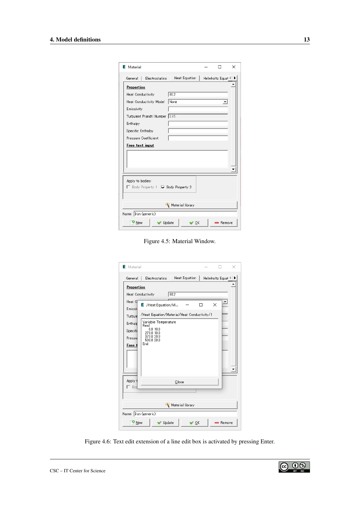| <b>E</b> Material                                         |                  |  | LΙ              | × |  |  |  |
|-----------------------------------------------------------|------------------|--|-----------------|---|--|--|--|
| General I<br>Electrostatics                               | Heat Equation    |  | Helmholtz Equat |   |  |  |  |
| <b>Properties</b>                                         |                  |  |                 |   |  |  |  |
| <b>Heat Conductivity</b>                                  | 80.2             |  |                 |   |  |  |  |
| Heat Conductivity Model                                   | None             |  |                 |   |  |  |  |
| Emissivity                                                |                  |  |                 |   |  |  |  |
| Turbulent Prandtl Number 10.85                            |                  |  |                 |   |  |  |  |
| Enthalpy                                                  |                  |  |                 |   |  |  |  |
| Specific Enthalpy                                         |                  |  |                 |   |  |  |  |
| Pressure Coefficient                                      |                  |  |                 |   |  |  |  |
|                                                           |                  |  |                 |   |  |  |  |
| Apply to bodies:<br>□ Body Property 1   ○ Body Property 2 |                  |  |                 |   |  |  |  |
|                                                           | Material library |  |                 |   |  |  |  |
|                                                           |                  |  |                 |   |  |  |  |
| Name: Iron (generic)                                      |                  |  |                 |   |  |  |  |

<span id="page-13-0"></span>Figure 4.5: Material Window.

| <b>E</b> Material                                      |                      |                 | × |
|--------------------------------------------------------|----------------------|-----------------|---|
| Electrostatics<br>General<br>ı                         | <b>Heat Equation</b> | Helmholtz Equat |   |
| <b>Properties</b>                                      |                      |                 |   |
| <b>Heat Conductivity</b>                               | 80.2                 |                 |   |
| Heat O<br>E /Heat Equation/M<br>Emissi                 |                      | ×               |   |
| /Heat Equation/Material/Heat Conductivity/1<br>Turbule |                      |                 |   |
| Variable Temperature<br>Enthald<br>Real                |                      |                 |   |
| 0.0 10.0<br>Specifi<br>273.0 10.0                      |                      |                 |   |
| 373.0 20.0<br>Pressul<br>500.0 20.0                    |                      |                 |   |
| End<br>Free t                                          |                      |                 |   |
|                                                        |                      |                 |   |
|                                                        |                      |                 |   |
|                                                        |                      |                 |   |
| Apply t                                                | Close                |                 |   |
| $\Gamma$ Bod                                           |                      |                 |   |
|                                                        |                      |                 |   |
|                                                        | Material library     |                 |   |
| Name: Tron (generic)                                   |                      |                 |   |
| $\bullet$ New<br>Update                                | OK                   | Remove          |   |

<span id="page-13-1"></span>Figure 4.6: Text edit extension of a line edit box is activated by pressing Enter.

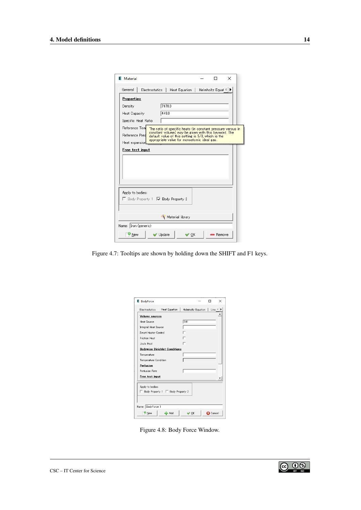| <b>E</b> Material                                 |                                                                                                                                                                                                                          |  |                   | $\times$ |
|---------------------------------------------------|--------------------------------------------------------------------------------------------------------------------------------------------------------------------------------------------------------------------------|--|-------------------|----------|
| General                                           | Electrostatics   Heat Equation                                                                                                                                                                                           |  | Helmholtz Equat 4 |          |
| <b>Properties</b>                                 |                                                                                                                                                                                                                          |  |                   |          |
| Density                                           | 7870.0                                                                                                                                                                                                                   |  |                   |          |
| <b>Heat Capacity</b>                              | 449.0                                                                                                                                                                                                                    |  |                   |          |
| Specific Heat Ratio                               |                                                                                                                                                                                                                          |  |                   |          |
| Reference Tem<br>Reference Pres<br>Heat expansion | The ratio of specific heats (in constant pressure versus in<br>constant volume) may be given with this keyword. The<br>default value of this setting is 5/3, which is the<br>appropriate value for monoatomic ideal gas. |  |                   |          |
|                                                   |                                                                                                                                                                                                                          |  |                   |          |
|                                                   |                                                                                                                                                                                                                          |  |                   |          |
| Apply to bodies:                                  | □ Body Property 1 □ Body Property 2                                                                                                                                                                                      |  |                   |          |
|                                                   | Material library                                                                                                                                                                                                         |  |                   |          |
| Name: Iron (generic)                              |                                                                                                                                                                                                                          |  |                   |          |

<span id="page-14-0"></span>Figure 4.7: Tooltips are shown by holding down the SHIFT and F1 keys.

| <b>E</b> BodyForce          |                                      |              |                                 |                 | × |
|-----------------------------|--------------------------------------|--------------|---------------------------------|-----------------|---|
| <b>Electrostatics</b>       | Heat Equation                        |              | Helmholtz Equation   Line 4   > |                 |   |
| <b>Volume sources</b>       |                                      |              |                                 |                 |   |
| <b>Heat Source</b>          |                                      | 0.01         |                                 |                 |   |
| <b>Integral Heat Source</b> |                                      |              |                                 |                 |   |
| Smart Heater Control        |                                      |              |                                 |                 |   |
| <b>Friction Heat</b>        |                                      |              |                                 |                 |   |
| Joule Heat                  |                                      |              |                                 |                 |   |
|                             | <b>Bodywise Dirichlet Conditions</b> |              |                                 |                 |   |
| Temperature                 |                                      |              |                                 |                 |   |
| Temperature Condition       |                                      |              |                                 |                 |   |
| Perfusion                   |                                      |              |                                 |                 |   |
| Perfusion Rate              |                                      |              |                                 |                 |   |
| Free text input             |                                      |              |                                 |                 |   |
| Apply to bodies:            | □ Body Property 1 □ Body Property 2  |              |                                 |                 |   |
| Name: BodyForce 1           |                                      |              |                                 |                 |   |
| <b>D</b> New                | Add                                  | $\bullet$ OK |                                 | <b>3</b> Cancel |   |

<span id="page-14-1"></span>Figure 4.8: Body Force Window.

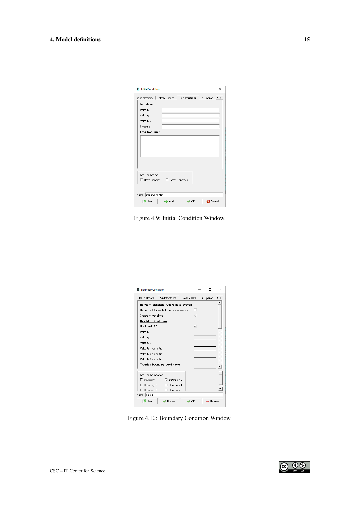| E InitialCondition            |                                     |               | п                 | × |
|-------------------------------|-------------------------------------|---------------|-------------------|---|
| hear elasticity   Mesh Update |                                     | Navier-Stokes | K-Epsilon   ◀   ▶ |   |
| Variables                     |                                     |               |                   |   |
| Velocity 1                    |                                     |               |                   |   |
| Velocity 2                    |                                     |               |                   |   |
| Velocity 3                    |                                     |               |                   |   |
| Pressure                      |                                     |               |                   |   |
| Free text input               |                                     |               |                   |   |
|                               |                                     |               |                   |   |
|                               |                                     |               |                   |   |
|                               |                                     |               |                   |   |
|                               |                                     |               |                   |   |
|                               |                                     |               |                   |   |
|                               |                                     |               |                   |   |
|                               |                                     |               |                   |   |
| Apply to bodies:              |                                     |               |                   |   |
|                               | □ Body Property 1 □ Body Property 2 |               |                   |   |
|                               |                                     |               |                   |   |
|                               |                                     |               |                   |   |
| Name: InitialCondition 1      |                                     |               |                   |   |
| <b>O</b> New                  | $ightharpoonup$ Add                 | $\vee$ OK     | <b>C</b> Cancel   |   |
|                               |                                     |               |                   |   |

<span id="page-15-0"></span>Figure 4.9: Initial Condition Window.

| E BoundaryCondition         |                                         |      |                             | × |
|-----------------------------|-----------------------------------------|------|-----------------------------|---|
| Mesh Update                 | Navier-Stokes                           |      | SaveScalars   K-Epsilon   4 |   |
|                             | Normal-Tangential Coordinate System     |      |                             |   |
|                             | Use normal-tangential coordinate system | п    |                             |   |
| Change of variables         |                                         | ᢑ    |                             |   |
| <b>Dirichlet Conditions</b> |                                         |      |                             |   |
| Noslip wall BC              |                                         | ঢ়   |                             |   |
| Velocity 1                  |                                         |      |                             |   |
| Velocity 2                  |                                         |      |                             |   |
| Velocity 3                  |                                         |      |                             |   |
| Velocity 1 Condition        |                                         |      |                             |   |
| Velocity 2 Condition        |                                         |      |                             |   |
| Velocity 3 Condition        |                                         |      |                             |   |
|                             | <b>Traction boundary conditions</b>     |      |                             |   |
| Apply to boundaries:        |                                         |      |                             |   |
|                             | □ Boundary 1 v Boundary 2               |      |                             |   |
|                             | □ Boundary 3 □ Boundary 4               |      |                             |   |
|                             | E. Boundary 5 E. Boundary 6             |      |                             |   |
| Name: NoSlip                |                                         |      |                             |   |
| $\mathbf{v}_{\text{New}}$   | Update                                  | ∥ OK | - Remove                    |   |

<span id="page-15-1"></span>Figure 4.10: Boundary Condition Window.

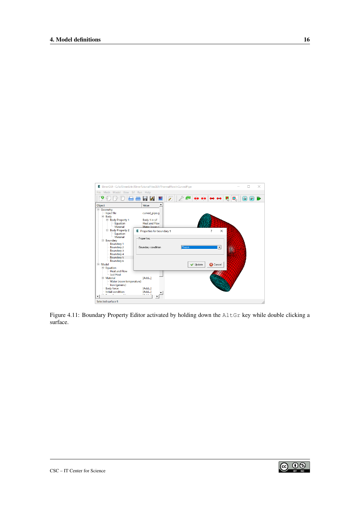

<span id="page-16-0"></span>Figure 4.11: Boundary Property Editor activated by holding down the AltGr key while double clicking a surface.

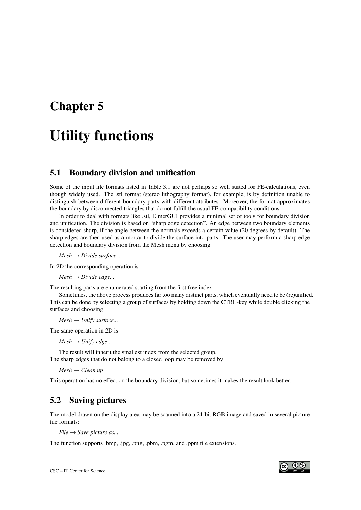## <span id="page-17-0"></span>Utility functions

#### <span id="page-17-1"></span>5.1 Boundary division and unification

Some of the input file formats listed in Table [3.1](#page-7-1) are not perhaps so well suited for FE-calculations, even though widely used. The .stl format (stereo lithography format), for example, is by definition unable to distinguish between different boundary parts with different attributes. Moreover, the format approximates the boundary by disconnected triangles that do not fulfill the usual FE-compatibility conditions.

In order to deal with formats like .stl, ElmerGUI provides a minimal set of tools for boundary division and unification. The division is based on "sharp edge detection". An edge between two boundary elements is considered sharp, if the angle between the normals exceeds a certain value (20 degrees by default). The sharp edges are then used as a mortar to divide the surface into parts. The user may perform a sharp edge detection and boundary division from the Mesh menu by choosing

*Mesh* → *Divide surface...*

In 2D the corresponding operation is

 $Mesh \rightarrow Divide \ edge...$ 

The resulting parts are enumerated starting from the first free index.

Sometimes, the above process produces far too many distinct parts, which eventually need to be (re)unified. This can be done by selecting a group of surfaces by holding down the CTRL-key while double clicking the surfaces and choosing

*Mesh* → *Unify surface...*

The same operation in 2D is

 $Mesh \rightarrow Unify \ edge...$ 

The result will inherit the smallest index from the selected group. The sharp edges that do not belong to a closed loop may be removed by

*Mesh* → *Clean up*

This operation has no effect on the boundary division, but sometimes it makes the result look better.

### <span id="page-17-2"></span>5.2 Saving pictures

The model drawn on the display area may be scanned into a 24-bit RGB image and saved in several picture file formats:

 $File \rightarrow Save$  *picture as...* 

The function supports .bmp, .jpg, .png, .pbm, .pgm, and .ppm file extensions.

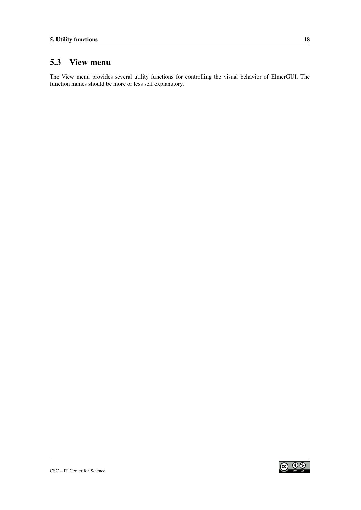### <span id="page-18-0"></span>5.3 View menu

The View menu provides several utility functions for controlling the visual behavior of ElmerGUI. The function names should be more or less self explanatory.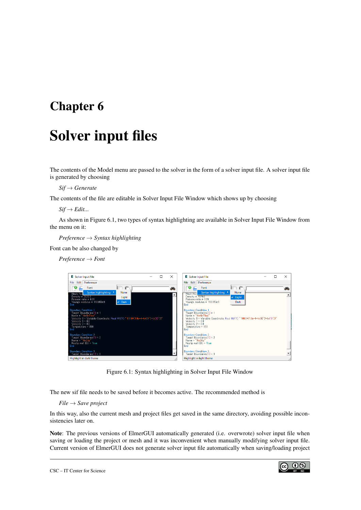# <span id="page-19-0"></span>Solver input files

The contents of the Model menu are passed to the solver in the form of a solver input file. A solver input file is generated by choosing

*Sif* → *Generate*

The contents of the file are editable in Solver Input File Window which shows up by choosing

 $Sif \rightarrow Edit...$ 

As shown in Figure [6.1,](#page-19-1) two types of syntax highlighting are available in Solver Input File Window from the menu on it:

*Preference* → *Syntax highlighting*

Font can be also changed by

*Preference* → *Font*



Figure 6.1: Syntax highlighting in Solver Input File Window

The new sif file needs to be saved before it becomes active. The recommended method is

<span id="page-19-1"></span>*File* → *Save project*

In this way, also the current mesh and project files get saved in the same directory, avoiding possible inconsistencies later on.

Note: The previous versions of ElmerGUI automatically generated (i.e. overwrote) solver input file when saving or loading the project or mesh and it was inconvenient when manually modifying solver input file. Current version of ElmerGUI does not generate solver input file automatically when saving/loading project

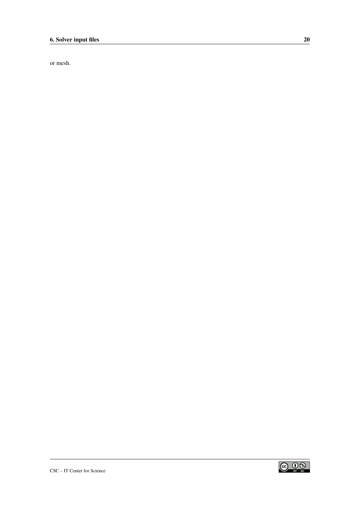or mesh.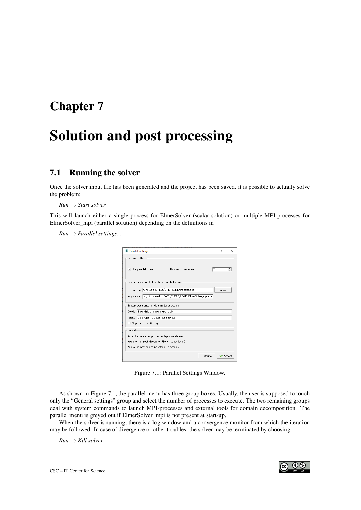## <span id="page-21-0"></span>Solution and post processing

### <span id="page-21-1"></span>7.1 Running the solver

Once the solver input file has been generated and the project has been saved, it is possible to actually solve the problem:

*Run* → *Start solver*

This will launch either a single process for ElmerSolver (scalar solution) or multiple MPI-processes for ElmerSolver\_mpi (parallel solution) depending on the definitions in

 $Run \rightarrow Parallel$  *settings...* 

| E Parallel settings                                                 |                | 7             | $\times$ |
|---------------------------------------------------------------------|----------------|---------------|----------|
| General settings                                                    |                |               |          |
| $\overline{\mathsf{v}}$ Use parallel solver<br>Number of processes: | $\overline{2}$ |               |          |
| System command to launch the parallel solver                        |                |               |          |
| Executable: C:/Program Files/MPICH2/bin/mpiexec.exe                 |                | <b>Browse</b> |          |
| Arguments: only %n -genvlist PATH,ELMER HOME ElmerSolver mpiexe     |                |               |          |
| System commands for domain decomposition                            |                |               |          |
| Divide: ElmerGrid 2 2 %msh -metis %n                                |                |               |          |
| Merge: ElmerGrid 15 3 %ep -partjoin %n                              |                |               |          |
| $\Box$ Skip mesh partitioning                                       |                |               |          |
| Legend                                                              |                |               |          |
| % is the number of processes (spinbox above)                        |                |               |          |
| %msh is the mesh directory (File -> Load/Save)                      |                |               |          |
| Xep is the post file name (Model -> Setup)                          |                |               |          |
| <b>Defaults</b>                                                     |                |               | Accept   |

<span id="page-21-2"></span>Figure 7.1: Parallel Settings Window.

As shown in Figure [7.1,](#page-21-2) the parallel menu has three group boxes. Usually, the user is supposed to touch only the "General settings" group and select the number of processes to execute. The two remaining groups deal with system commands to launch MPI-processes and external tools for domain decomposition. The parallel menu is greyed out if ElmerSolver\_mpi is not present at start-up.

When the solver is running, there is a log window and a convergence monitor from which the iteration may be followed. In case of divergence or other troubles, the solver may be terminated by choosing

*Run* → *Kill solver*

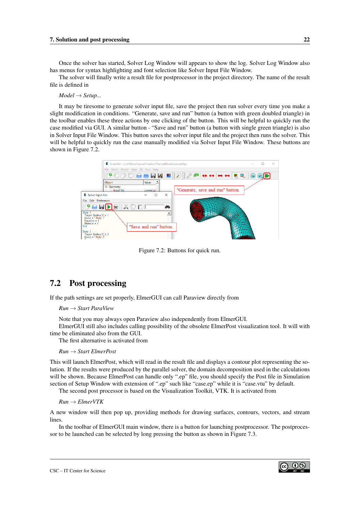Once the solver has started, Solver Log Window will appears to show the log. Solver Log Window also has menus for syntax highlighting and font selection like Solver Input File Window.

The solver will finally write a result file for postprocessor in the project directory. The name of the result file is defined in

*Model* → *Setup...*

It may be tiresome to generate solver input file, save the project then run solver every time you make a slight modification in conditions. "Generate, save and run" button (a button with green doubled triangle) in the toolbar enables these three actions by one clicking of the button. This will be helpful to quickly run the case modified via GUI. A similar button - "Save and run" button (a button with single green triangle) is also in Solver Input File Window. This button saves the solver input file and the project then runs the solver. This will be helpful to quickly run the case manually modified via Solver Input File Window. These buttons are shown in Figure [7.2.](#page-22-1)



<span id="page-22-1"></span>Figure 7.2: Buttons for quick run.

#### <span id="page-22-0"></span>7.2 Post processing

If the path settings are set properly, ElmerGUI can call Paraview directly from

*Run* → *Start ParaView*

Note that you may always open Paraview also independently from ElmerGUI.

ElmerGUI still also includes calling possibility of the obsolete ElmerPost visualization tool. It will with time be eliminated also from the GUI.

The first alternative is activated from

#### *Run* → *Start ElmerPost*

This will launch ElmerPost, which will read in the result file and displays a contour plot representing the solution. If the results were produced by the parallel solver, the domain decomposition used in the calculations will be shown. Because ElmerPost can handle only ".ep" file, you should specify the Post file in Simulation section of Setup Window with extension of ".ep" such like "case.ep" while it is "case.vtu" by default.

The second post processor is based on the Visualization Toolkit, VTK. It is activated from

*Run* → *ElmerVTK*

A new window will then pop up, providing methods for drawing surfaces, contours, vectors, and stream lines.

In the toolbar of ElmerGUI main window, there is a button for launching postprocessor. The postprocessor to be launched can be selected by long pressing the button as shown in Figure [7.3.](#page-23-0)

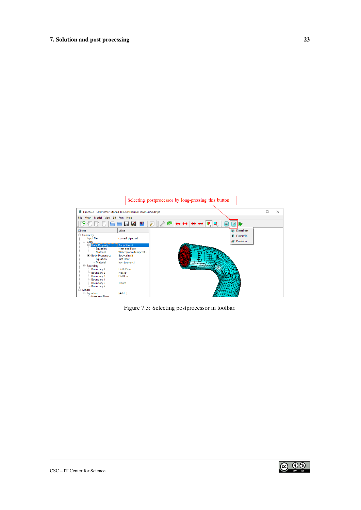

<span id="page-23-0"></span>Figure 7.3: Selecting postprocessor in toolbar.



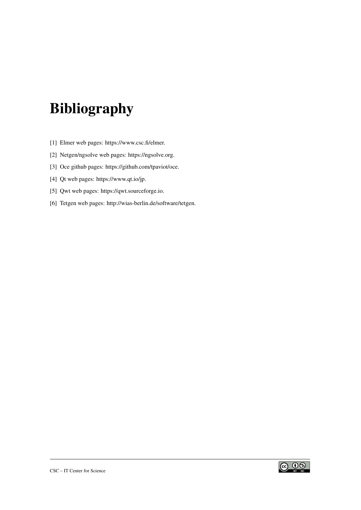# Bibliography

- <span id="page-24-0"></span>[1] Elmer web pages: https://www.csc.fi/elmer.
- <span id="page-24-4"></span>[2] Netgen/ngsolve web pages: https://ngsolve.org.
- <span id="page-24-3"></span>[3] Oce github pages: https://github.com/tpaviot/oce.
- <span id="page-24-1"></span>[4] Qt web pages: https://www.qt.io/jp.
- <span id="page-24-2"></span>[5] Qwt web pages: https://qwt.sourceforge.io.
- <span id="page-24-5"></span>[6] Tetgen web pages: http://wias-berlin.de/software/tetgen.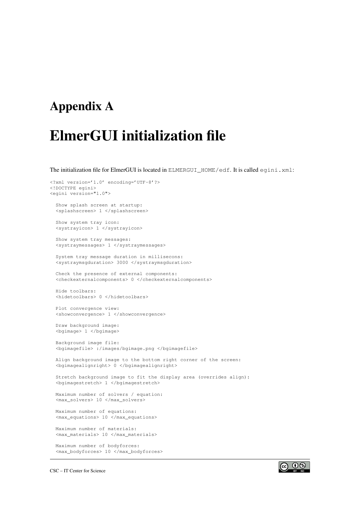### <span id="page-25-0"></span>Appendix A

# ElmerGUI initialization file

The initialization file for ElmerGUI is located in ELMERGUI HOME/edf. It is called egini.xml:

```
<?xml version='1.0' encoding='UTF-8'?>
<!DOCTYPE egini>
<egini version="1.0">
 Show splash screen at startup:
  <splashscreen> 1 </splashscreen>
 Show system tray icon:
  <systrayicon> 1 </systrayicon>
 Show system tray messages:
  <systraymessages> 1 </systraymessages>
 System tray message duration in millisecons:
 <systraymsgduration> 3000 </systraymsgduration>
 Check the presence of external components:
  <checkexternalcomponents> 0 </checkexternalcomponents>
 Hide toolbars:
 <hidetoolbars> 0 </hidetoolbars>
 Plot convergence view:
 <showconvergence> 1 </showconvergence>
 Draw background image:
  <bgimage> 1 </bgimage>
 Background image file:
  <bgimagefile> :/images/bgimage.png </bgimagefile>
  Align background image to the bottom right corner of the screen:
  <bgimagealignright> 0 </bgimagealignright>
  Stretch background image to fit the display area (overrides align):
  <bgimagestretch> 1 </bgimagestretch>
 Maximum number of solvers / equation:
  <max_solvers> 10 </max_solvers>
 Maximum number of equations:
  <max_equations> 10 </max_equations>
 Maximum number of materials:
  <max_materials> 10 </max_materials>
 Maximum number of bodyforces:
```
<max\_bodyforces> 10 </max\_bodyforces>

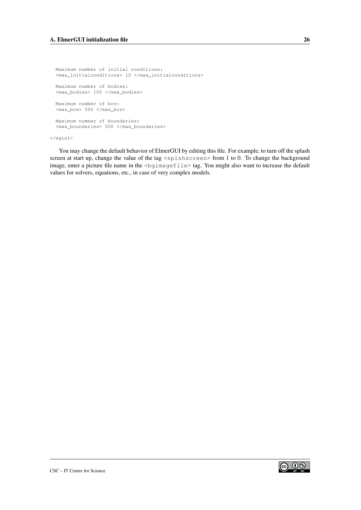Maximum number of initial conditions: <max\_initialconditions> 10 </max\_initialconditions> Maximum number of bodies: <max\_bodies> 100 </max\_bodies> Maximum number of bcs: <max\_bcs> 500 </max\_bcs> Maximum number of boundaries: <max\_boundaries> 500 </max\_boundaries>

</egini>

You may change the default behavior of ElmerGUI by editing this file. For example, to turn off the splash screen at start up, change the value of the tag <splshscreen> from 1 to 0. To change the background image, enter a picture file name in the <bgimagefile>tag. You might also want to increase the default values for solvers, equations, etc., in case of very complex models.

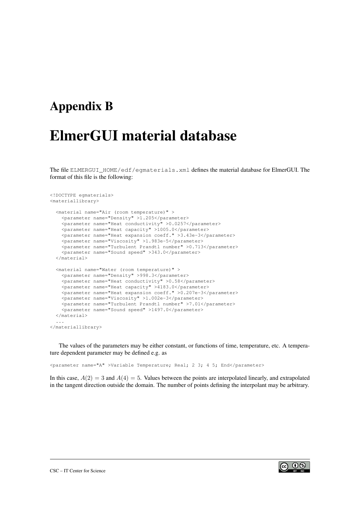### <span id="page-27-0"></span>Appendix B

# ElmerGUI material database

The file ELMERGUI HOME/edf/egmaterials.xml defines the material database for ElmerGUI. The format of this file is the following:

```
<!DOCTYPE egmaterials>
<materiallibrary>
  <material name="Air (room temperature)" >
   <parameter name="Density" >1.205</parameter>
    <parameter name="Heat conductivity" >0.0257</parameter>
    <parameter name="Heat capacity" >1005.0</parameter>
   <parameter name="Heat expansion coeff." >3.43e-3</parameter>
    <parameter name="Viscosity" >1.983e-5</parameter>
   <parameter name="Turbulent Prandtl number" >0.713</parameter>
    <parameter name="Sound speed" >343.0</parameter>
  </material>
  <material name="Water (room temperature)" >
    <parameter name="Density" >998.3</parameter>
    <parameter name="Heat conductivity" >0.58</parameter>
   <parameter name="Heat capacity" >4183.0</parameter>
   <parameter name="Heat expansion coeff." >0.207e-3</parameter>
    <parameter name="Viscosity" >1.002e-3</parameter>
    <parameter name="Turbulent Prandtl number" >7.01</parameter>
    <parameter name="Sound speed" >1497.0</parameter>
  </material>
  ...
</materiallibrary>
```
The values of the parameters may be either constant, or functions of time, temperature, etc. A temperature dependent parameter may be defined e.g. as

<parameter name="A" >Variable Temperature; Real; 2 3; 4 5; End</parameter>

In this case,  $A(2) = 3$  and  $A(4) = 5$ . Values between the points are interpolated linearly, and extrapolated in the tangent direction outside the domain. The number of points defining the interpolant may be arbitrary.

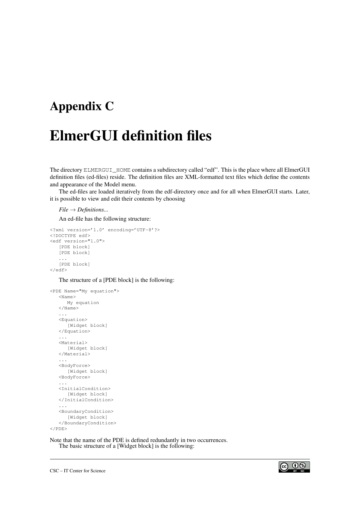### <span id="page-28-0"></span>Appendix C

# ElmerGUI definition files

The directory ELMERGUI HOME contains a subdirectory called "edf". This is the place where all ElmerGUI definition files (ed-files) reside. The definition files are XML-formatted text files which define the contents and appearance of the Model menu.

The ed-files are loaded iteratively from the edf-directory once and for all when ElmerGUI starts. Later, it is possible to view and edit their contents by choosing

*File* → *Definitions...*

An ed-file has the following structure:

```
<?xml version='1.0' encoding='UTF-8'?>
<!DOCTYPE edf>
<edf version="1.0">
  [PDE block]
   [PDE block]
   ...
   [PDE block]
</edf>
```
The structure of a [PDE block] is the following:

```
<PDE Name="My equation">
  <Name>
     My equation
  </Name>
   ...
  <Equation>
     [Widget block]
   </Equation>
   ...
   <Material>
     [Widget block]
   </Material>
   ...
   <BodyForce>
      [Widget block]
   <BodyForce>
   ...
  <InitialCondition>
      [Widget block]
   </InitialCondition>
   ...
   <BoundaryCondition>
     [Widget block]
   </BoundaryCondition>
</PDE>
```
Note that the name of the PDE is defined redundantly in two occurrences. The basic structure of a [Widget block] is the following:

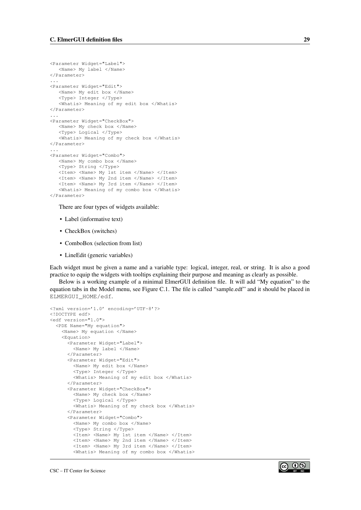```
<Parameter Widget="Label">
  <Name> My label </Name>
</Parameter>
...
<Parameter Widget="Edit">
  <Name> My edit box </Name>
   <Type> Integer </Type>
   <Whatis> Meaning of my edit box </Whatis>
</Parameter>
...
<Parameter Widget="CheckBox">
   <Name> My check box </Name>
   <Type> Logical </Type>
   <Whatis> Meaning of my check box </Whatis>
</Parameter>
...
<Parameter Widget="Combo">
   <Name> My combo box </Name>
   <Type> String </Type>
  <Item> <Name> My 1st item </Name> </Item>
   <Item> <Name> My 2nd item </Name> </Item>
   <Item> <Name> My 3rd item </Name> </Item>
   <Whatis> Meaning of my combo box </Whatis>
</Parameter>
```
There are four types of widgets available:

- Label (informative text)
- CheckBox (switches)
- ComboBox (selection from list)
- LineEdit (generic variables)

Each widget must be given a name and a variable type: logical, integer, real, or string. It is also a good practice to equip the widgets with tooltips explaining their purpose and meaning as clearly as possible.

Below is a working example of a minimal ElmerGUI definition file. It will add "My equation" to the equation tabs in the Model menu, see Figure [C.1.](#page-30-0) The file is called "sample.edf" and it should be placed in ELMERGUI\_HOME/edf.

```
<?xml version='1.0' encoding='UTF-8'?>
<!DOCTYPE edf>
<edf version="1.0">
  <PDE Name="My equation">
    <Name> My equation </Name>
    <Equation>
      <Parameter Widget="Label">
       <Name> My label </Name>
      </Parameter>
      <Parameter Widget="Edit">
       <Name> My edit box </Name>
        <Type> Integer </Type>
        <Whatis> Meaning of my edit box </Whatis>
      </Parameter>
      <Parameter Widget="CheckBox">
        <Name> My check box </Name>
        <Type> Logical </Type>
        <Whatis> Meaning of my check box </Whatis>
      </Parameter>
      <Parameter Widget="Combo">
        <Name> My combo box </Name>
        <Type> String </Type>
        <Item> <Name> My 1st item </Name> </Item>
        <Item> <Name> My 2nd item </Name> </Item>
        <Item> <Name> My 3rd item </Name> </Item>
        <Whatis> Meaning of my combo box </Whatis>
```
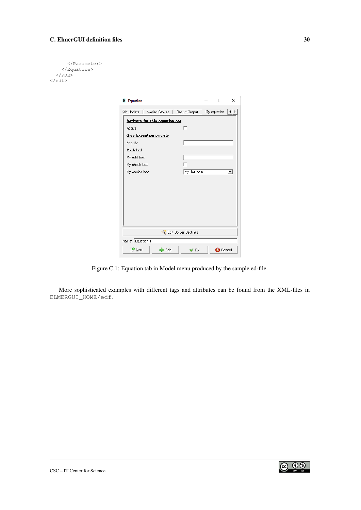```
</Parameter>
    </Equation>
  </PDE>
\langle/edf>
```

| <b>E</b> Equation                             |  | п               | X |  |  |  |
|-----------------------------------------------|--|-----------------|---|--|--|--|
| ∮sh Update ∣<br>Navier-Stokes   Result Output |  | My equation     |   |  |  |  |
| Activate for this equation set                |  |                 |   |  |  |  |
| Active<br>n.                                  |  |                 |   |  |  |  |
| <b>Give Execution priority</b>                |  |                 |   |  |  |  |
| Priority                                      |  |                 |   |  |  |  |
| My label                                      |  |                 |   |  |  |  |
| My edit box                                   |  |                 |   |  |  |  |
| My check box                                  |  |                 |   |  |  |  |
| My 1st item<br>My combo box                   |  |                 | ۰ |  |  |  |
|                                               |  |                 |   |  |  |  |
|                                               |  |                 |   |  |  |  |
|                                               |  |                 |   |  |  |  |
|                                               |  |                 |   |  |  |  |
|                                               |  |                 |   |  |  |  |
|                                               |  |                 |   |  |  |  |
|                                               |  |                 |   |  |  |  |
| Edit Solver Settings                          |  |                 |   |  |  |  |
| Name: Equation 1                              |  |                 |   |  |  |  |
| $\mathbf{v}_{\text{New}}$<br>de Add<br>γ⊙κ    |  | <b>3</b> Cancel |   |  |  |  |

<span id="page-30-0"></span>Figure C.1: Equation tab in Model menu produced by the sample ed-file.

More sophisticated examples with different tags and attributes can be found from the XML-files in ELMERGUI\_HOME/edf.

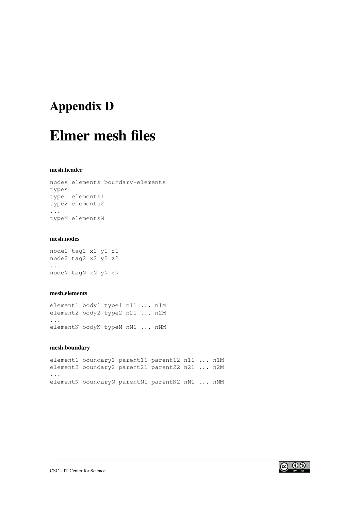## <span id="page-31-0"></span>Appendix D

# Elmer mesh files

#### mesh.header

```
nodes elements boundary-elements
types
type1 elements1
type2 elements2
...
typeN elementsN
```
#### mesh.nodes

node1 tag1 x1 y1 z1 node2 tag2 x2 y2 z2 ... nodeN tagN xN yN zN

#### mesh.elements

element1 body1 type1 n11 ... n1M element2 body2 type2 n21 ... n2M ... elementN bodyN typeN nN1 ... nNM

#### mesh.boundary

element1 boundary1 parent11 parent12 n11 ... n1M element2 boundary2 parent21 parent22 n21 ... n2M ... elementN boundaryN parentN1 parentN2 nN1 ... nNM

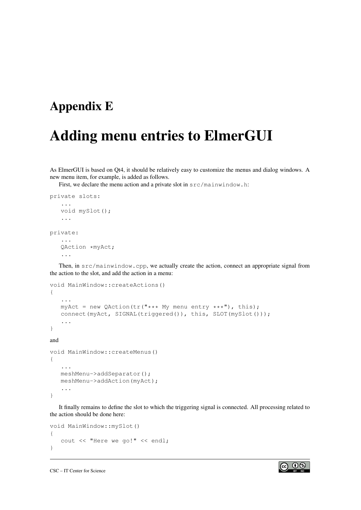### <span id="page-32-0"></span>Appendix E

## Adding menu entries to ElmerGUI

As ElmerGUI is based on Qt4, it should be relatively easy to customize the menus and dialog windows. A new menu item, for example, is added as follows.

First, we declare the menu action and a private slot in  $src / main$  invindow.h:

```
private slots:
   ...
   void mySlot();
   ...
private:
   ...
   QAction *myAct;
   ...
```
Then, in src/mainwindow.cpp, we actually create the action, connect an appropriate signal from the action to the slot, and add the action in a menu:

```
void MainWindow::createActions()
{
   ...
   myAct = new QAction(tr("*** My menu entry ***"); this);connect(myAct, SIGNAL(triggered()), this, SLOT(mySlot()));
   ...
}
and
void MainWindow::createMenus()
{
   ...
   meshMenu->addSeparator();
   meshMenu->addAction(myAct);
   ...
}
```
It finally remains to define the slot to which the triggering signal is connected. All processing related to the action should be done here:

```
void MainWindow::mySlot()
{
   cout << "Here we go!" << endl;
}
```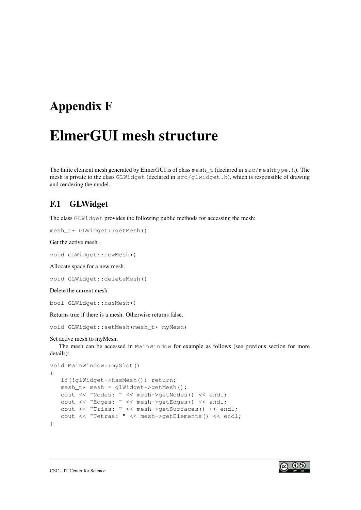## <span id="page-33-0"></span>Appendix F

# ElmerGUI mesh structure

The finite element mesh generated by ElmerGUI is of class mesh  $t$  (declared in  $src/meshtype$ .h). The mesh is private to the class GLWidget (declared in src/glwidget.h), which is responsible of drawing and rendering the model.

### <span id="page-33-1"></span>F.1 GLWidget

The class GLWidget provides the following public methods for accessing the mesh:

```
mesh_t* GLWidget::getMesh()
```
Get the active mesh.

void GLWidget::newMesh()

Allocate space for a new mesh.

```
void GLWidget::deleteMesh()
```
Delete the current mesh.

bool GLWidget::hasMesh()

Returns true if there is a mesh. Otherwise returns false.

```
void GLWidget::setMesh(mesh_t* myMesh)
```
Set active mesh to myMesh.

The mesh can be accessed in MainWindow for example as follows (see previous section for more details):

```
void MainWindow::mySlot()
{
   if(!glWidget->hasMesh()) return;
   mesh_t* mesh = glWidget->getMesh();
   cout << "Nodes: " << mesh->getNodes() << endl;
   cout << "Edges: " << mesh->getEdges() << endl;
   cout << "Trias: " << mesh->getSurfaces() << endl;
   cout << "Tetras: " << mesh->getElements() << endl;
}
```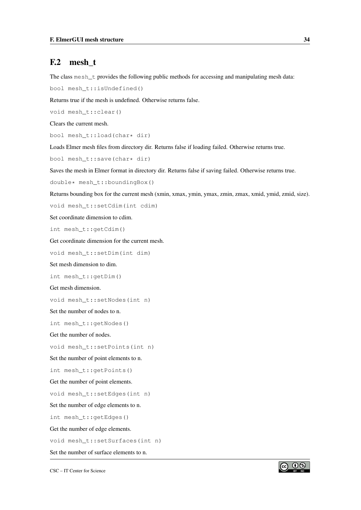#### <span id="page-34-0"></span>F.2 mesh\_t

The class mesh\_t provides the following public methods for accessing and manipulating mesh data:

bool mesh\_t::isUndefined()

Returns true if the mesh is undefined. Otherwise returns false.

void mesh\_t::clear()

Clears the current mesh.

bool mesh t::load(char\* dir)

Loads Elmer mesh files from directory dir. Returns false if loading failed. Otherwise returns true.

bool mesh\_t::save(char\* dir)

Saves the mesh in Elmer format in directory dir. Returns false if saving failed. Otherwise returns true.

double\* mesh\_t::boundingBox()

Returns bounding box for the current mesh (xmin, xmax, ymin, ymax, zmin, zmax, xmid, ymid, zmid, size).

void mesh\_t::setCdim(int cdim)

Set coordinate dimension to cdim.

int mesh\_t::getCdim()

Get coordinate dimension for the current mesh.

void mesh\_t::setDim(int dim)

Set mesh dimension to dim.

int mesh\_t::getDim()

Get mesh dimension.

void mesh\_t::setNodes(int n)

Set the number of nodes to n.

int mesh\_t::getNodes()

Get the number of nodes.

void mesh\_t::setPoints(int n)

Set the number of point elements to n.

int mesh\_t::getPoints()

Get the number of point elements.

void mesh\_t::setEdges(int n)

Set the number of edge elements to n.

int mesh\_t::getEdges()

Get the number of edge elements.

void mesh\_t::setSurfaces(int n)

Set the number of surface elements to n.

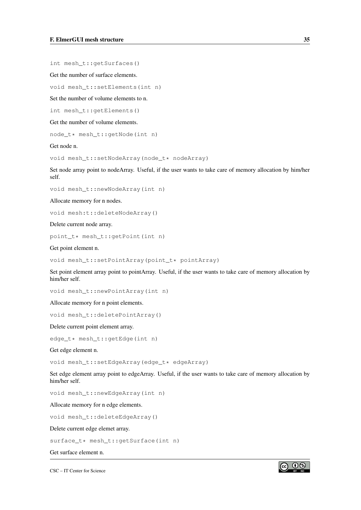int mesh\_t::getSurfaces()

Get the number of surface elements.

void mesh\_t::setElements(int n)

Set the number of volume elements to n.

int mesh\_t::getElements()

Get the number of volume elements.

node\_t\* mesh\_t::getNode(int n)

Get node n.

void mesh\_t::setNodeArray(node\_t\* nodeArray)

Set node array point to nodeArray. Useful, if the user wants to take care of memory allocation by him/her self.

void mesh\_t::newNodeArray(int n)

Allocate memory for n nodes.

void mesh:t::deleteNodeArray()

Delete current node array.

point\_t\* mesh\_t::getPoint(int n)

Get point element n.

void mesh\_t::setPointArray(point\_t\* pointArray)

Set point element array point to pointArray. Useful, if the user wants to take care of memory allocation by him/her self.

void mesh\_t::newPointArray(int n)

Allocate memory for n point elements.

void mesh\_t::deletePointArray()

Delete current point element array.

edge\_t\* mesh\_t::getEdge(int n)

Get edge element n.

void mesh\_t::setEdgeArray(edge\_t\* edgeArray)

Set edge element array point to edgeArray. Useful, if the user wants to take care of memory allocation by him/her self.

void mesh\_t::newEdgeArray(int n)

Allocate memory for n edge elements.

void mesh\_t::deleteEdgeArray()

Delete current edge elemet array.

surface\_t\* mesh\_t::getSurface(int n)

Get surface element n.

CSC – IT Center for Science

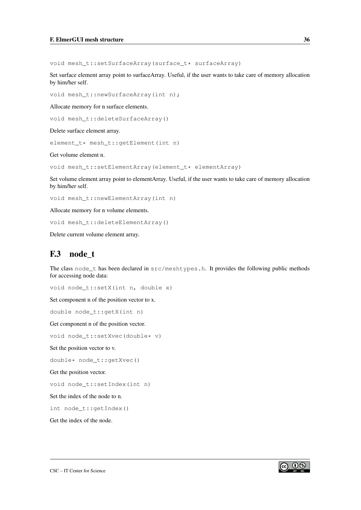void mesh\_t::setSurfaceArray(surface\_t\* surfaceArray)

Set surface element array point to surfaceArray. Useful, if the user wants to take care of memory allocation by him/her self.

void mesh\_t::newSurfaceArray(int n);

Allocate memory for n surface elements.

void mesh\_t::deleteSurfaceArray()

Delete surface element array.

element t\* mesh t:: qetElement(int n)

Get volume element n.

void mesh\_t::setElementArray(element\_t\* elementArray)

Set volume element array point to elementArray. Useful, if the user wants to take care of memory allocation by him/her self.

void mesh\_t::newElementArray(int n)

Allocate memory for n volume elements.

void mesh\_t::deleteElementArray()

Delete current volume element array.

#### <span id="page-36-0"></span>F.3 node t

The class node\_t has been declared in src/meshtypes.h. It provides the following public methods for accessing node data:

void node\_t::setX(int n, double x)

Set component n of the position vector to x.

double node\_t::getX(int n)

Get component n of the position vector.

void node\_t::setXvec(double\* v)

Set the position vector to v.

double\* node\_t::getXvec()

Get the position vector.

void node\_t::setIndex(int n)

Set the index of the node to n.

int node\_t::getIndex()

Get the index of the node.

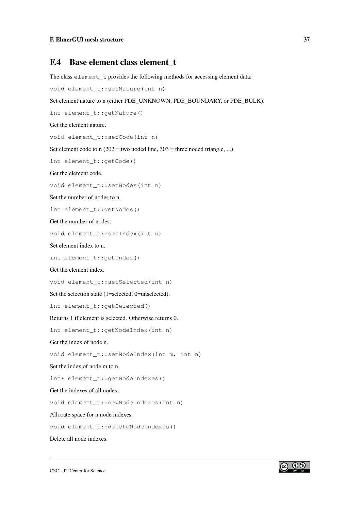### <span id="page-37-0"></span>F.4 Base element class element t

The class element\_t provides the following methods for accessing element data:

```
void element_t::setNature(int n)
```
Set element nature to n (either PDE\_UNKNOWN, PDE\_BOUNDARY, or PDE\_BULK).

```
int element_t::getNature()
```
Get the element nature.

void element\_t::setCode(int n)

Set element code to  $n(202 = two needed line, 303 = three needed triangle, ...)$ 

int element\_t::getCode()

Get the element code.

void element\_t::setNodes(int n)

Set the number of nodes to n.

int element t::getNodes()

Get the number of nodes.

void element\_t::setIndex(int n)

Set element index to n.

int element\_t::getIndex()

Get the element index.

void element\_t::setSelected(int n)

Set the selection state (1=selected, 0=unselected).

int element\_t::getSelected()

Returns 1 if element is selected. Otherwise returns 0.

int element\_t::getNodeIndex(int n)

Get the index of node n.

void element\_t::setNodeIndex(int m, int n)

Set the index of node m to n.

int\* element\_t::getNodeIndexes()

Get the indexes of all nodes.

void element\_t::newNodeIndexes(int n)

Allocate space for n node indexes.

void element\_t::deleteNodeIndexes()

Delete all node indexes.

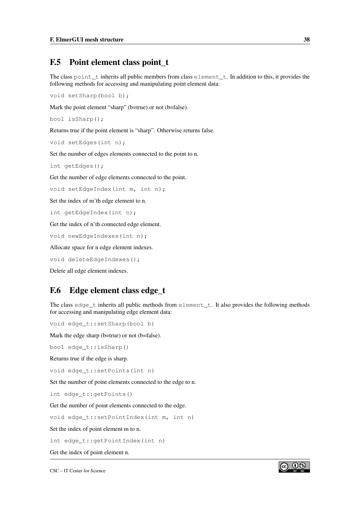#### <span id="page-38-0"></span>F.5 Point element class point t

The class point <u>t</u> inherits all public members from class element t. In addition to this, it provides the following methods for accessing and manipulating point element data:

void setSharp(bool b);

Mark the point element "sharp" (b=true) or not (b=false).

```
bool isSharp();
```
Returns true if the point element is "sharp". Otherwise returns false.

```
void setEdges(int n);
```
Set the number of edges elements connected to the point to n.

```
int getEdges();
```
Get the number of edge elements connected to the point.

void setEdgeIndex(int m, int n);

Set the index of m'th edge element to n.

```
int getEdgeIndex(int n);
```
Get the index of n'th connected edge element.

void newEdgeIndexes(int n);

Allocate space for n edge element indexes.

void deleteEdgeIndexes();

Delete all edge element indexes.

### <span id="page-38-1"></span>F.6 Edge element class edge\_t

The class edge  $t$  inherits all public methods from element  $t$ . It also provides the following methods for accessing and manipulating edge element data:

void edge\_t::setSharp(bool b)

Mark the edge sharp (b=true) or not (b=false).

bool edge\_t::isSharp()

Returns true if the edge is sharp.

void edge\_t::setPoints(int n)

Set the number of point elements connected to the edge to n.

int edge\_t::getPoints()

Get the number of point elements connected to the edge.

void edge\_t::setPointIndex(int m, int n)

Set the index of point element m to n.

int edge\_t::getPointIndex(int n)

Get the index of point element n.

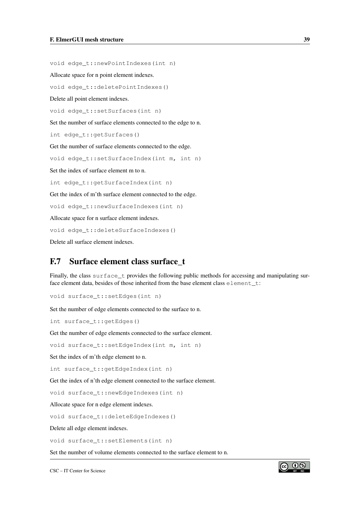void edge\_t::newPointIndexes(int n)

Allocate space for n point element indexes.

void edge\_t::deletePointIndexes()

Delete all point element indexes.

void edge t::setSurfaces(int n)

Set the number of surface elements connected to the edge to n.

int edge\_t::getSurfaces()

Get the number of surface elements connected to the edge.

void edge t::setSurfaceIndex(int m, int n)

Set the index of surface element m to n.

int edge\_t::getSurfaceIndex(int n)

Get the index of m'th surface element connected to the edge.

void edge\_t::newSurfaceIndexes(int n)

Allocate space for n surface element indexes.

void edge\_t::deleteSurfaceIndexes()

Delete all surface element indexes.

### <span id="page-39-0"></span>F.7 Surface element class surface\_t

Finally, the class surface\_t provides the following public methods for accessing and manipulating surface element data, besides of those inherited from the base element class element\_t:

void surface\_t::setEdges(int n)

Set the number of edge elements connected to the surface to n.

int surface\_t::getEdges()

Get the number of edge elements connected to the surface element.

void surface\_t::setEdgeIndex(int m, int n)

Set the index of m'th edge element to n.

int surface\_t::getEdgeIndex(int n)

Get the index of n'th edge element connected to the surface element.

void surface\_t::newEdgeIndexes(int n)

Allocate space for n edge element indexes.

void surface\_t::deleteEdgeIndexes()

Delete all edge element indexes.

void surface\_t::setElements(int n)

Set the number of volume elements connected to the surface element to n.